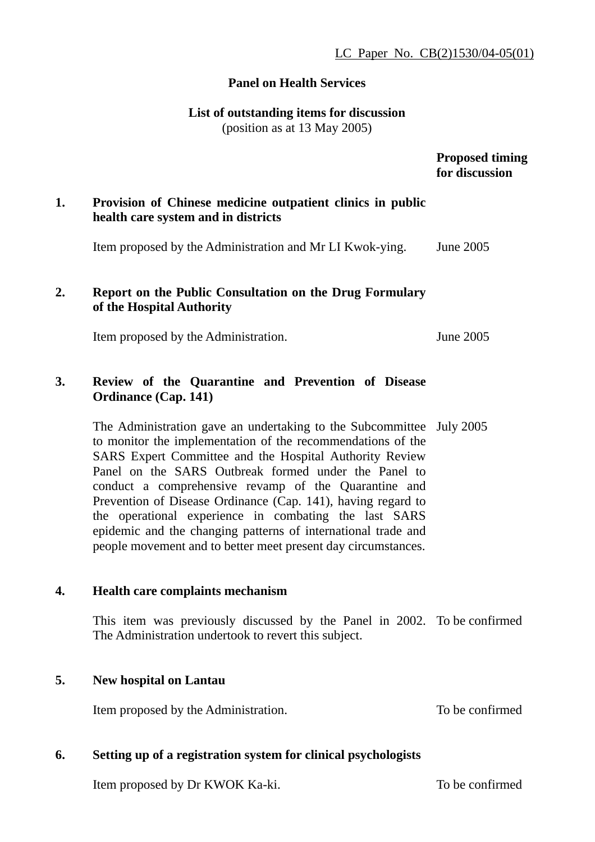### **Panel on Health Services**

## **List of outstanding items for discussion**

(position as at 13 May 2005)

#### **Proposed timing for discussion**

# **1. Provision of Chinese medicine outpatient clinics in public health care system and in districts**

Item proposed by the Administration and Mr LI Kwok-ying. June 2005

# **2. Report on the Public Consultation on the Drug Formulary of the Hospital Authority**

Item proposed by the Administration. June 2005

# **3. Review of the Quarantine and Prevention of Disease Ordinance (Cap. 141)**

The Administration gave an undertaking to the Subcommittee July 2005 to monitor the implementation of the recommendations of the SARS Expert Committee and the Hospital Authority Review Panel on the SARS Outbreak formed under the Panel to conduct a comprehensive revamp of the Quarantine and Prevention of Disease Ordinance (Cap. 141), having regard to the operational experience in combating the last SARS epidemic and the changing patterns of international trade and people movement and to better meet present day circumstances.

#### **4. Health care complaints mechanism**

This item was previously discussed by the Panel in 2002. To be confirmed The Administration undertook to revert this subject.

#### **5. New hospital on Lantau**

Item proposed by the Administration. To be confirmed

# **6. Setting up of a registration system for clinical psychologists**

Item proposed by Dr KWOK Ka-ki.

To be confirmed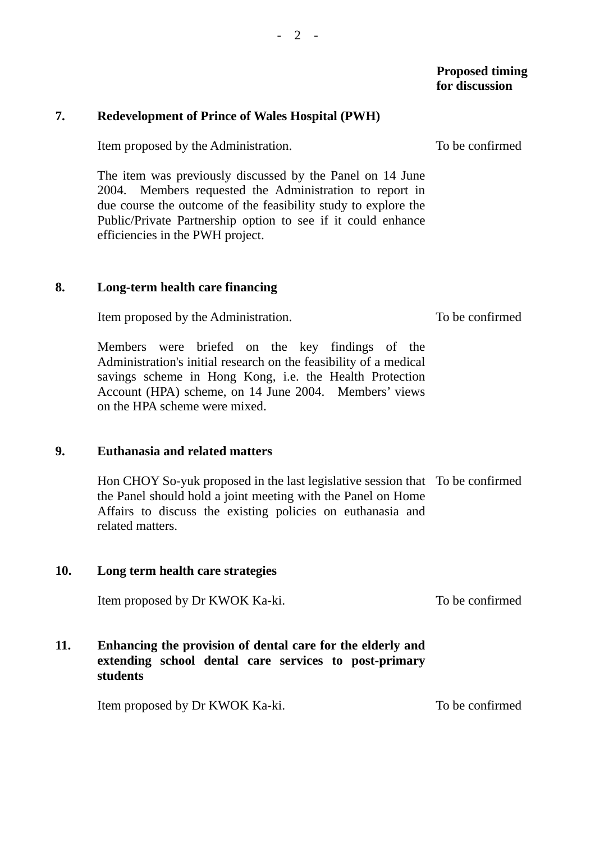## **Proposed timing for discussion**

## **7. Redevelopment of Prince of Wales Hospital (PWH)**

Item proposed by the Administration.

The item was previously discussed by the Panel on 14 June 2004. Members requested the Administration to report in due course the outcome of the feasibility study to explore the Public/Private Partnership option to see if it could enhance efficiencies in the PWH project.

#### **8. Long-term health care financing**

Item proposed by the Administration.

Members were briefed on the key findings of the Administration's initial research on the feasibility of a medical savings scheme in Hong Kong, i.e. the Health Protection Account (HPA) scheme, on 14 June 2004. Members' views on the HPA scheme were mixed.

#### **9. Euthanasia and related matters**

Hon CHOY So-yuk proposed in the last legislative session that To be confirmed the Panel should hold a joint meeting with the Panel on Home Affairs to discuss the existing policies on euthanasia and related matters.

#### **10. Long term health care strategies**

Item proposed by Dr KWOK Ka-ki. To be confirmed

# **11. Enhancing the provision of dental care for the elderly and extending school dental care services to post-primary students**

Item proposed by Dr KWOK Ka-ki. To be confirmed

To be confirmed

To be confirmed